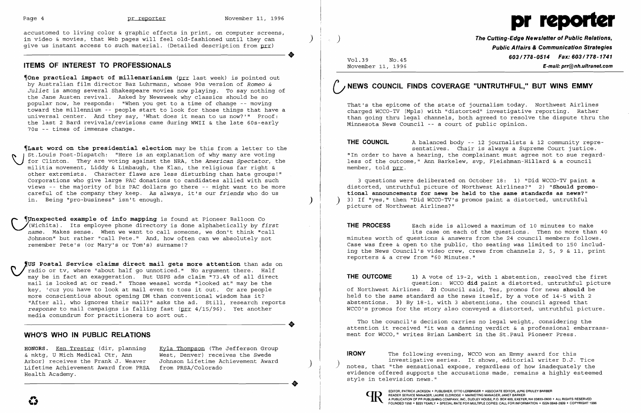$\clubsuit$ 

 $\clubsuit$ 



**The Cutting-Edge Newsletter of Public Relations, Public Affairs & Communication Strategies 603/778-0514 Fax: 603/778-1741**<br>November 11, 1996 November 11, 1996 E-mail: prr@nh.ultranet.com

accustomed to living color & graphic effects in print, on computer screens, in video & movies, that Web pages will feel old-fashioned until they can ) give us instant access to such material. (Detailed description from prr)

## **ITEMS OF INTEREST TO PROFESSIONALS**

~One **practical impact of millenarianism** (prr last week) is pointed out by Australian film director Baz Luhrmann, whose 90s version of *Romeo & Juliet* is among several Shakespeare movies now playing. To say nothing of the Jane Austen revival. Asked by Newsweek why classics should be so popular now, he responds: "When you get to a time of change -- moving toward the millennium -- people start to look for those things that have a universal center. And they say, 'What does it mean to us now?'" Proof: the last 2 Bard revivals/revisions came during WWII & the late 60s-early 70s -- times of immense change.

 $\bigcup_{\stackrel{\scriptscriptstyle \Omega}{\scriptscriptstyle \Pi}}^{\scriptscriptstyle \Pi}$ ~Last **word on the presidential election** may be this from a letter to the St.Louis Post-Dispatch: "Here is an explanation of why many are voting for Clinton. They are voting against the NRA, the *American Spectator,* the militia movement, Liddy & Limbaugh, the Klan, the religious far right & other extremists. Character flaws are less disturbing than hate groups!" Corporations who give large PAC donations to candidates allied with such views -- the majority of biz PAC dollars go there -- might want to be more careful of the company they keep. As always, it's our *friends* who do us in. Being "pro-business" isn't enough.

**(Unexpected example of info mapping is found at Pioneer Balloon Co** ~(Wichita). Its employee phone directory is done alphabetically by *first name.* Makes sense. When we want to call someone, we don't think "call Johnson" but rather "call Pete." And, how often can we absolutely not remember Pete's (or Mary's or Tom's) surname!?

**THE COUNCIL** A balanced body -- 12 journalists & 12 community representatives. Chair is always a Supreme Court justice. "In order to have a hearing, the complainant must agree not to sue regardless of the outcome," Ann Barkelew, svp, Fleishman-Hillard & a council member, told prr.

**THE PROCESS** Each side is allowed a maximum of 10 minutes to make its case on each of the questions. Then no more than 40 minutes worth of questions & answers from the 24 council members follows. Case was free & open to the public, tho seating was limited to 150 including the News Council's video crew, crews from channels 2, 5, 9 & 11, print reporters & a crew from "60 Minutes."

**THE OUTCOME** 1) A vote of 19-2, with 1 abstention, resolved the first question: WCCO **did** paint a distorted, untruthful picture of Northwest Airlines. **2)** Council said, Yes, promos for news **should** be held to the same standard as the news itself, by a vote of 14-5 with 2 abstentions. 3) By 18-1, with 3 abstentions, the council agreed that WCCO's promos for the story also conveyed a distorted, untruthful picture.

 **'US Postal Service claims direct mail gets more attention** than ads on radio or tv, where "about half go unnoticed." No argument there. Half may be in fact an exaggeration. But USPS ads claim "73.4% of all direct mail is looked at or read." Those weasel words "looked at" may be the key, 'cuz you have to look at mail even to toss it out. Or are people more conscientious about opening DM than conventional wisdom has it? "After all, who ignores their mail?" asks the ad. Still, research reports *response* to mail campaigns is falling fast (prr 4/15/96). Yet another media conundrum for practitioners to sort out.

### **WHO'S WHO IN PUBLIC RELATIONS**

**HONORS.** <u>Ken Trester</u> (dir, planning Kyla Thompson (The Jefferson Group<br>& mktq, U Mich Medical Ctr, Ann West, Denver) receives the Swede & mktg, U Mich Medical Ctr, Ann West, Denver) receives the Swede Arbor) receives the Frank J. Weaver Johnson Lifetime Achievement Award Lifetime Achievement Award from PRSA from PRSA/Colorado<br>Health Academy.

# **NEWS COUNCIL FINDS COVERAGE "UNTRUTHFUL," BUT WINS EMMY**

That's the epitome of the state of journalism today. Northwest Airlines charged WCCO-TV (Mpls) with "distorted" investigative reporting. Rather than going thru legal channels, both agreed to resolve the dispute thru the Minnesota News Council -- a court of public opinion.

3 questions were deliberated on October 18: 1) "Did WCCO-TV paint a distorted, untruthful picture of Northwest Airlines?" 2) **"Should promotional announcements for news be held to the same standards as news?"**  ) 3) If "yes," then "Did WCCO-TV's promos paint a distorted, untruthful picture of Northwest Airlines?"

Tho the council's decision carries no legal weight, considering the attention it received "it was a damning verdict & a professional embarrassment for WCCO," writes Brian Lambert in the St.Paul Pioneer Press.

**IRONY** The following evening, WCCo won an Emmy award for this investigative series. It shows, editorial writer D.J. Tice ) notes, that "the sensational expose, regardless of how inadequately the evidence offered supports the accusations made, remains a highly esteemed style in television news."



..